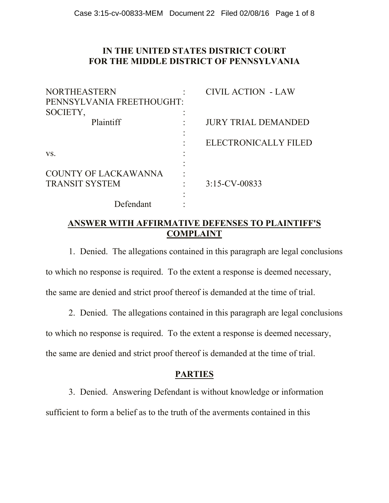### **IN THE UNITED STATES DISTRICT COURT FOR THE MIDDLE DISTRICT OF PENNSYLVANIA**

| <b>NORTHEASTERN</b>         | <b>CIVIL ACTION - LAW</b>  |
|-----------------------------|----------------------------|
| PENNSYLVANIA FREETHOUGHT:   |                            |
| SOCIETY,                    |                            |
| Plaintiff                   | <b>JURY TRIAL DEMANDED</b> |
|                             | ELECTRONICALLY FILED       |
| VS.                         |                            |
|                             |                            |
| <b>COUNTY OF LACKAWANNA</b> |                            |
| <b>TRANSIT SYSTEM</b>       | $3:15$ -CV-00833           |
|                             |                            |
| Defendant                   |                            |

## **ANSWER WITH AFFIRMATIVE DEFENSES TO PLAINTIFF'S COMPLAINT**

1. Denied. The allegations contained in this paragraph are legal conclusions to which no response is required. To the extent a response is deemed necessary, the same are denied and strict proof thereof is demanded at the time of trial.

2. Denied. The allegations contained in this paragraph are legal conclusions to which no response is required. To the extent a response is deemed necessary, the same are denied and strict proof thereof is demanded at the time of trial.

## **PARTIES**

3. Denied. Answering Defendant is without knowledge or information sufficient to form a belief as to the truth of the averments contained in this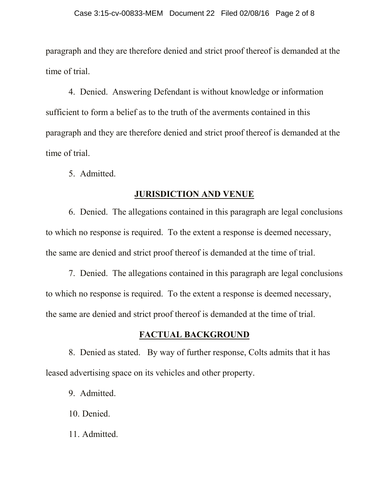paragraph and they are therefore denied and strict proof thereof is demanded at the time of trial.

4. Denied. Answering Defendant is without knowledge or information sufficient to form a belief as to the truth of the averments contained in this paragraph and they are therefore denied and strict proof thereof is demanded at the time of trial.

5. Admitted.

#### **JURISDICTION AND VENUE**

6. Denied. The allegations contained in this paragraph are legal conclusions to which no response is required. To the extent a response is deemed necessary, the same are denied and strict proof thereof is demanded at the time of trial.

7. Denied. The allegations contained in this paragraph are legal conclusions to which no response is required. To the extent a response is deemed necessary, the same are denied and strict proof thereof is demanded at the time of trial.

### **FACTUAL BACKGROUND**

8. Denied as stated. By way of further response, Colts admits that it has leased advertising space on its vehicles and other property.

9. Admitted.

10. Denied.

11. Admitted.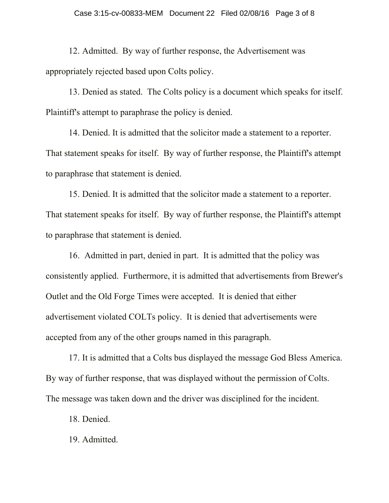12. Admitted. By way of further response, the Advertisement was appropriately rejected based upon Colts policy.

13. Denied as stated. The Colts policy is a document which speaks for itself. Plaintiff's attempt to paraphrase the policy is denied.

14. Denied. It is admitted that the solicitor made a statement to a reporter. That statement speaks for itself. By way of further response, the Plaintiff's attempt to paraphrase that statement is denied.

15. Denied. It is admitted that the solicitor made a statement to a reporter. That statement speaks for itself. By way of further response, the Plaintiff's attempt to paraphrase that statement is denied.

16. Admitted in part, denied in part. It is admitted that the policy was consistently applied. Furthermore, it is admitted that advertisements from Brewer's Outlet and the Old Forge Times were accepted. It is denied that either advertisement violated COLTs policy. It is denied that advertisements were accepted from any of the other groups named in this paragraph.

17. It is admitted that a Colts bus displayed the message God Bless America. By way of further response, that was displayed without the permission of Colts. The message was taken down and the driver was disciplined for the incident.

18. Denied.

19. Admitted.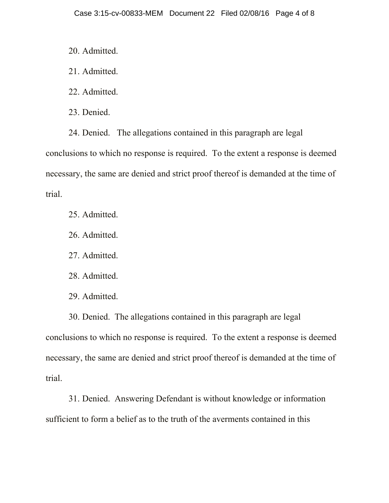20. Admitted.

21. Admitted.

22. Admitted.

23. Denied.

24. Denied. The allegations contained in this paragraph are legal conclusions to which no response is required. To the extent a response is deemed necessary, the same are denied and strict proof thereof is demanded at the time of trial.

25. Admitted.

26. Admitted.

27. Admitted.

28. Admitted.

29. Admitted.

30. Denied. The allegations contained in this paragraph are legal conclusions to which no response is required. To the extent a response is deemed necessary, the same are denied and strict proof thereof is demanded at the time of trial.

31. Denied. Answering Defendant is without knowledge or information sufficient to form a belief as to the truth of the averments contained in this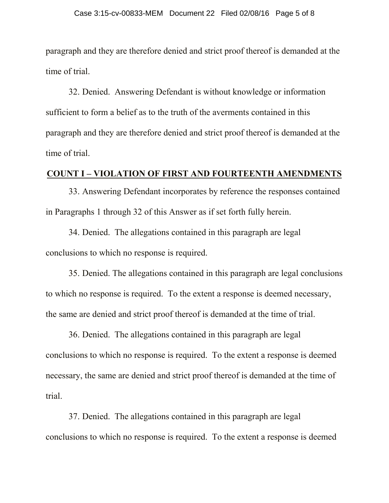paragraph and they are therefore denied and strict proof thereof is demanded at the time of trial.

32. Denied. Answering Defendant is without knowledge or information sufficient to form a belief as to the truth of the averments contained in this paragraph and they are therefore denied and strict proof thereof is demanded at the time of trial.

#### **COUNT I – VIOLATION OF FIRST AND FOURTEENTH AMENDMENTS**

33. Answering Defendant incorporates by reference the responses contained in Paragraphs 1 through 32 of this Answer as if set forth fully herein.

34. Denied. The allegations contained in this paragraph are legal conclusions to which no response is required.

35. Denied. The allegations contained in this paragraph are legal conclusions to which no response is required. To the extent a response is deemed necessary, the same are denied and strict proof thereof is demanded at the time of trial.

36. Denied. The allegations contained in this paragraph are legal conclusions to which no response is required. To the extent a response is deemed necessary, the same are denied and strict proof thereof is demanded at the time of trial.

37. Denied. The allegations contained in this paragraph are legal conclusions to which no response is required. To the extent a response is deemed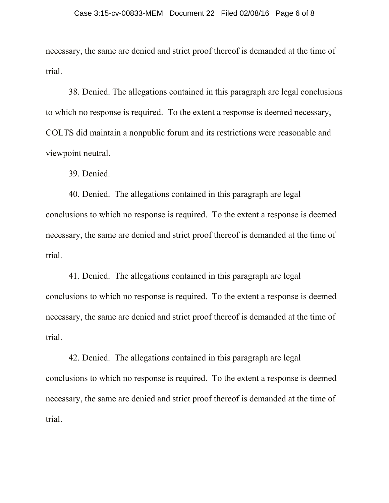necessary, the same are denied and strict proof thereof is demanded at the time of trial.

38. Denied. The allegations contained in this paragraph are legal conclusions to which no response is required. To the extent a response is deemed necessary, COLTS did maintain a nonpublic forum and its restrictions were reasonable and viewpoint neutral.

39. Denied.

40. Denied. The allegations contained in this paragraph are legal conclusions to which no response is required. To the extent a response is deemed necessary, the same are denied and strict proof thereof is demanded at the time of trial.

41. Denied. The allegations contained in this paragraph are legal conclusions to which no response is required. To the extent a response is deemed necessary, the same are denied and strict proof thereof is demanded at the time of trial.

42. Denied. The allegations contained in this paragraph are legal conclusions to which no response is required. To the extent a response is deemed necessary, the same are denied and strict proof thereof is demanded at the time of trial.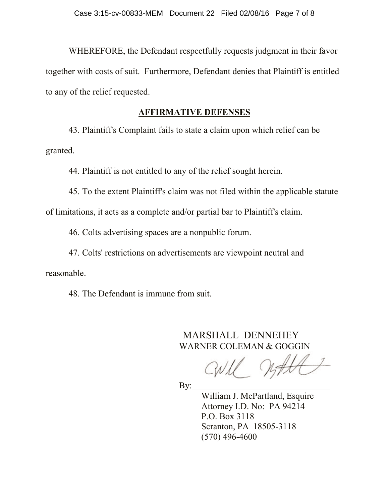WHEREFORE, the Defendant respectfully requests judgment in their favor together with costs of suit. Furthermore, Defendant denies that Plaintiff is entitled to any of the relief requested.

#### **AFFIRMATIVE DEFENSES**

43. Plaintiff's Complaint fails to state a claim upon which relief can be granted.

44. Plaintiff is not entitled to any of the relief sought herein.

45. To the extent Plaintiff's claim was not filed within the applicable statute of limitations, it acts as a complete and/or partial bar to Plaintiff's claim.

46. Colts advertising spaces are a nonpublic forum.

47. Colts' restrictions on advertisements are viewpoint neutral and reasonable.

48. The Defendant is immune from suit.

MARSHALL DENNEHEY WARNER COLEMAN & GOGGIN

 $\mathbf{By:}$ 

William J. McPartland, Esquire Attorney I.D. No: PA 94214 P.O. Box 3118 Scranton, PA 18505-3118 (570) 496-4600